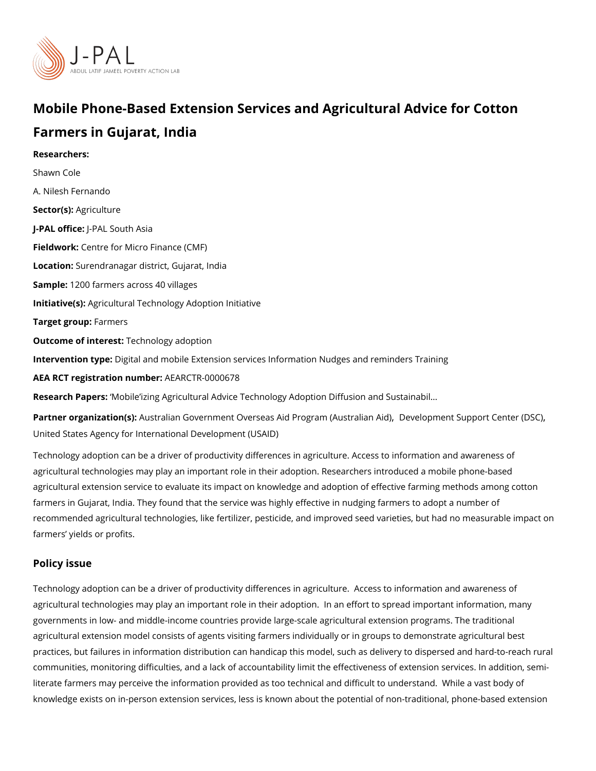# Mobile Phone-Based Extension Services and Agricultural Ad Farmers in Gujarat, India

Researchers: [Shawn C](https://www.povertyactionlab.org/person/cole)ole A. Nilesh Fernando Sector(Asgriculture J-PAL oftlicReal South Asia Fieldwoßentre for Micro Finance (CMF) Locatioßurendranagar district, Gujarat, India Sample: 200 farmers across 40 villages Initiative (s): icultural Technology Adoption Initiative Target grolermers Outcome of intelesh: nology adoption Intervention tpportal and mobile Extension services Information Nudges and reminders Tra AEA RCT registration ArEuAnRbCeTR-0000678 Research PapMosile izing Agricultural Advice Technology Adoption Diffusion and Sustaina Partner organizatAouns (sàlian Government Overseas Aid Prog Dæm e (Appretentian papid it Center (D [United States Agency for International](https://www.povertyactionlab.org/partners/united-states-agency-international-development-usaid) Development (USAID)

Technology adoption can be a driver of productivity differences in agriculture. Access to agricultural technologies may play an important role in their adoption. Researchers introd agricultural extension service to evaluate its impact on knowledge and adoption of effecti farmers in Gujarat, India. They found that the service was highly effective in nudging farr recommended agricultural technologies, like fertilizer, pesticide, and improved seed varie farmers yields or profits.

#### Policy issue

Technology adoption can be a driver of productivity differences in agriculture. Access to agricultural technologies may play an important role in their adoption. In an effort to spr governments in low- and middle-income countries provide large-scale agricultural extension agricultural extension model consists of agents visiting farmers individually or in groups practices, but failures in information distribution can handicap this model, such as delive communities, monitoring difficulties, and a lack of accountability limit the effectiveness c literate farmers may perceive the information provided as too technical and difficult to un knowledge exists on in-person extension services, less is known about the potential of no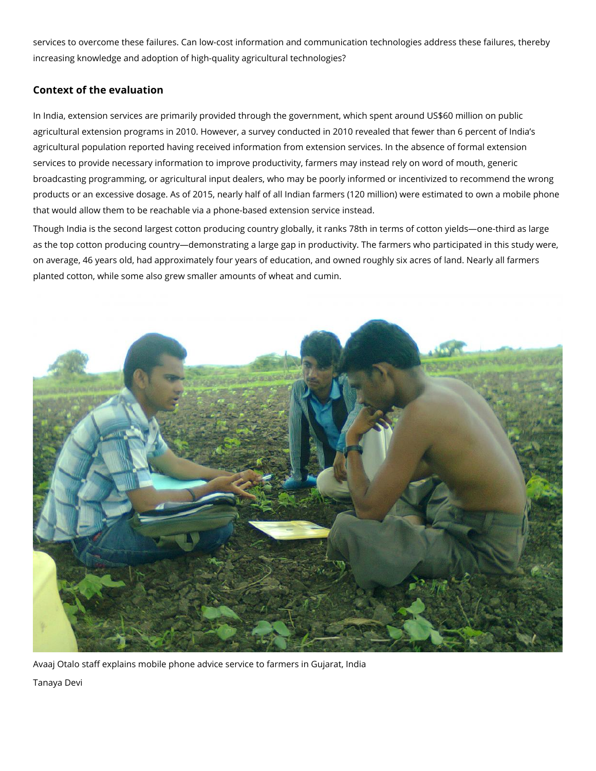services to overcome these failures. Can low-cost information and communication technologies address these failures, thereby increasing knowledge and adoption of high-quality agricultural technologies?

# **Context of the evaluation**

In India, extension services are primarily provided through the government, which spent around US\$60 million on public agricultural extension programs in 2010. However, a survey conducted in 2010 revealed that fewer than 6 percent of India's agricultural population reported having received information from extension services. In the absence of formal extension services to provide necessary information to improve productivity, farmers may instead rely on word of mouth, generic broadcasting programming, or agricultural input dealers, who may be poorly informed or incentivized to recommend the wrong products or an excessive dosage. As of 2015, nearly half of all Indian farmers (120 million) were estimated to own a mobile phone that would allow them to be reachable via a phone-based extension service instead.

Though India is the second largest cotton producing country globally, it ranks 78th in terms of cotton yields—one-third as large as the top cotton producing country—demonstrating a large gap in productivity. The farmers who participated in this study were, on average, 46 years old, had approximately four years of education, and owned roughly six acres of land. Nearly all farmers planted cotton, while some also grew smaller amounts of wheat and cumin.



Avaaj Otalo staff explains mobile phone advice service to farmers in Gujarat, India

Tanaya Devi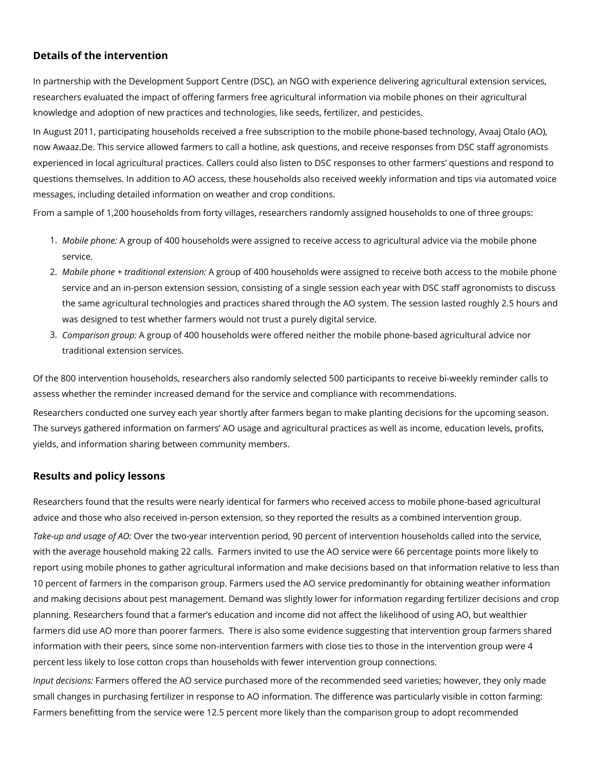### **Details of the intervention**

In partnership with the Development Support Centre (DSC), an NGO with experience delivering agricultural extension services, researchers evaluated the impact of offering farmers free agricultural information via mobile phones on their agricultural knowledge and adoption of new practices and technologies, like seeds, fertilizer, and pesticides.

In August 2011, participating households received a free subscription to the mobile phone-based technology, Avaaj Otalo (AO), now Awaaz.De. This service allowed farmers to call a hotline, ask questions, and receive responses from DSC staff agronomists experienced in local agricultural practices. Callers could also listen to DSC responses to other farmers' questions and respond to questions themselves. In addition to AO access, these households also received weekly information and tips via automated voice messages, including detailed information on weather and crop conditions.

From a sample of 1,200 households from forty villages, researchers randomly assigned households to one of three groups:

- 1. *Mobile phone:* A group of 400 households were assigned to receive access to agricultural advice via the mobile phone service.
- 2. *Mobile phone + traditional extension:* A group of 400 households were assigned to receive both access to the mobile phone service and an in-person extension session, consisting of a single session each year with DSC staff agronomists to discuss the same agricultural technologies and practices shared through the AO system. The session lasted roughly 2.5 hours and was designed to test whether farmers would not trust a purely digital service.
- 3. *Comparison group:* A group of 400 households were offered neither the mobile phone-based agricultural advice nor traditional extension services.

Of the 800 intervention households, researchers also randomly selected 500 participants to receive bi-weekly reminder calls to assess whether the reminder increased demand for the service and compliance with recommendations.

Researchers conducted one survey each year shortly after farmers began to make planting decisions for the upcoming season. The surveys gathered information on farmers' AO usage and agricultural practices as well as income, education levels, profits, yields, and information sharing between community members.

## **Results and policy lessons**

Researchers found that the results were nearly identical for farmers who received access to mobile phone-based agricultural advice and those who also received in-person extension, so they reported the results as a combined intervention group.

*Take-up and usage of AO:* Over the two-year intervention period, 90 percent of intervention households called into the service, with the average household making 22 calls. Farmers invited to use the AO service were 66 percentage points more likely to report using mobile phones to gather agricultural information and make decisions based on that information relative to less than 10 percent of farmers in the comparison group. Farmers used the AO service predominantly for obtaining weather information and making decisions about pest management. Demand was slightly lower for information regarding fertilizer decisions and crop planning. Researchers found that a farmer's education and income did not affect the likelihood of using AO, but wealthier farmers did use AO more than poorer farmers. There is also some evidence suggesting that intervention group farmers shared information with their peers, since some non-intervention farmers with close ties to those in the intervention group were 4 percent less likely to lose cotton crops than households with fewer intervention group connections.

*Input decisions:* Farmers offered the AO service purchased more of the recommended seed varieties; however, they only made small changes in purchasing fertilizer in response to AO information. The difference was particularly visible in cotton farming: Farmers benefitting from the service were 12.5 percent more likely than the comparison group to adopt recommended